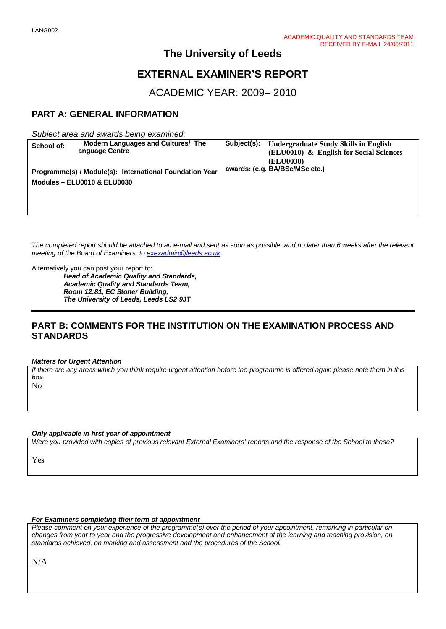## **The University of Leeds**

## **EXTERNAL EXAMINER'S REPORT**

ACADEMIC YEAR: 2009– 2010

## **PART A: GENERAL INFORMATION**

*Subject area and awards being examined:*

| School of:                                              | Modern Languages and Cultures/ The | Subject(s): | <b>Undergraduate Study Skills in English</b> |
|---------------------------------------------------------|------------------------------------|-------------|----------------------------------------------|
|                                                         | anguage Centre                     |             | (ELU0010) & English for Social Sciences      |
|                                                         |                                    |             | (ELU0030)                                    |
| Programme(s) / Module(s): International Foundation Year |                                    |             | awards: (e.g. BA/BSc/MSc etc.)               |
|                                                         |                                    |             |                                              |
| <b>Modules - ELU0010 &amp; ELU0030</b>                  |                                    |             |                                              |
|                                                         |                                    |             |                                              |
|                                                         |                                    |             |                                              |
|                                                         |                                    |             |                                              |
|                                                         |                                    |             |                                              |

*The completed report should be attached to an e-mail and sent as soon as possible, and no later than 6 weeks after the relevant meeting of the Board of Examiners, to [exexadmin@leeds.ac.uk.](mailto:exexadmin@leeds.ac.uk)*

Alternatively you can post your report to:

*Head of Academic Quality and Standards, Academic Quality and Standards Team, Room 12:81, EC Stoner Building, The University of Leeds, Leeds LS2 9JT*

## **PART B: COMMENTS FOR THE INSTITUTION ON THE EXAMINATION PROCESS AND STANDARDS**

*Matters for Urgent Attention*

*If there are any areas which you think require urgent attention before the programme is offered again please note them in this box.*

No

*Only applicable in first year of appointment*

*Were you provided with copies of previous relevant External Examiners' reports and the response of the School to these?* 

Yes

#### *For Examiners completing their term of appointment*

*Please comment on your experience of the programme(s) over the period of your appointment, remarking in particular on changes from year to year and the progressive development and enhancement of the learning and teaching provision, on standards achieved, on marking and assessment and the procedures of the School.* 

N/A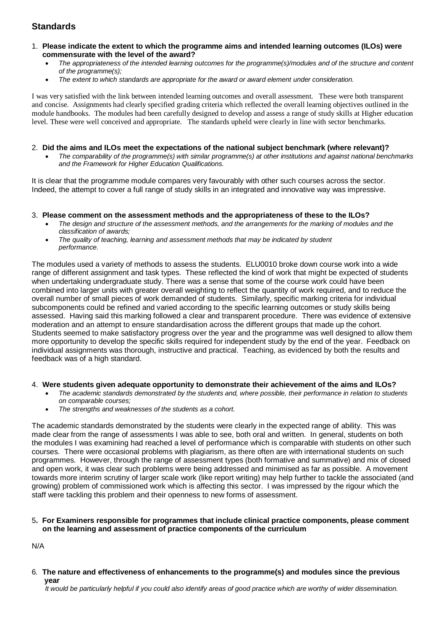## **Standards**

- 1. **Please indicate the extent to which the programme aims and intended learning outcomes (ILOs) were commensurate with the level of the award?**
	- *The appropriateness of the intended learning outcomes for the programme(s)/modules and of the structure and content of the programme(s);*
	- *The extent to which standards are appropriate for the award or award element under consideration.*

I was very satisfied with the link between intended learning outcomes and overall assessment. These were both transparent and concise. Assignments had clearly specified grading criteria which reflected the overall learning objectives outlined in the module handbooks. The modules had been carefully designed to develop and assess a range of study skills at Higher education level. These were well conceived and appropriate. The standards upheld were clearly in line with sector benchmarks.

#### 2. **Did the aims and ILOs meet the expectations of the national subject benchmark (where relevant)?**

• *The comparability of the programme(s) with similar programme(s) at other institutions and against national benchmarks and the Framework for Higher Education Qualifications.*

It is clear that the programme module compares very favourably with other such courses across the sector. Indeed, the attempt to cover a full range of study skills in an integrated and innovative way was impressive.

#### 3. **Please comment on the assessment methods and the appropriateness of these to the ILOs?**

- *The design and structure of the assessment methods, and the arrangements for the marking of modules and the classification of awards;*
- *The quality of teaching, learning and assessment methods that may be indicated by student performance.*

The modules used a variety of methods to assess the students. ELU0010 broke down course work into a wide range of different assignment and task types. These reflected the kind of work that might be expected of students when undertaking undergraduate study. There was a sense that some of the course work could have been combined into larger units with greater overall weighting to reflect the quantity of work required, and to reduce the overall number of small pieces of work demanded of students. Similarly, specific marking criteria for individual subcomponents could be refined and varied according to the specific learning outcomes or study skills being assessed. Having said this marking followed a clear and transparent procedure. There was evidence of extensive moderation and an attempt to ensure standardisation across the different groups that made up the cohort. Students seemed to make satisfactory progress over the year and the programme was well designed to allow them more opportunity to develop the specific skills required for independent study by the end of the year. Feedback on individual assignments was thorough, instructive and practical. Teaching, as evidenced by both the results and feedback was of a high standard.

#### 4. **Were students given adequate opportunity to demonstrate their achievement of the aims and ILOs?**

- *The academic standards demonstrated by the students and, where possible, their performance in relation to students on comparable courses;*
- *The strengths and weaknesses of the students as a cohort.*

The academic standards demonstrated by the students were clearly in the expected range of ability. This was made clear from the range of assessments I was able to see, both oral and written. In general, students on both the modules I was examining had reached a level of performance which is comparable with students on other such courses. There were occasional problems with plagiarism, as there often are with international students on such programmes. However, through the range of assessment types (both formative and summative) and mix of closed and open work, it was clear such problems were being addressed and minimised as far as possible. A movement towards more interim scrutiny of larger scale work (like report writing) may help further to tackle the associated (and growing) problem of commissioned work which is affecting this sector. I was impressed by the rigour which the staff were tackling this problem and their openness to new forms of assessment.

#### 5**. For Examiners responsible for programmes that include clinical practice components, please comment on the learning and assessment of practice components of the curriculum**

N/A

6*.* **The nature and effectiveness of enhancements to the programme(s) and modules since the previous year**

 *It would be particularly helpful if you could also identify areas of good practice which are worthy of wider dissemination.*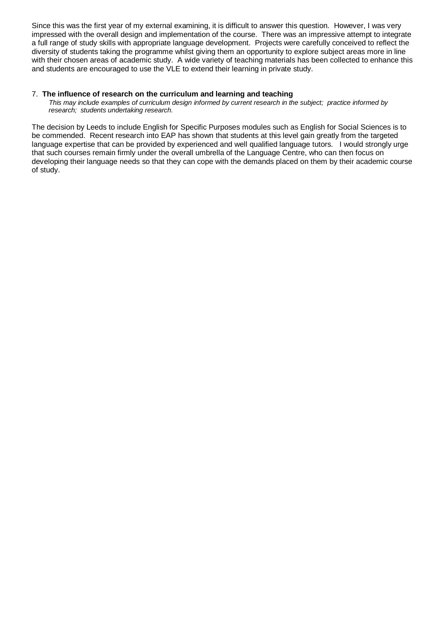Since this was the first year of my external examining, it is difficult to answer this question. However, I was very impressed with the overall design and implementation of the course. There was an impressive attempt to integrate a full range of study skills with appropriate language development. Projects were carefully conceived to reflect the diversity of students taking the programme whilst giving them an opportunity to explore subject areas more in line with their chosen areas of academic study. A wide variety of teaching materials has been collected to enhance this and students are encouraged to use the VLE to extend their learning in private study.

#### 7.**The influence of research on the curriculum and learning and teaching**

 *This may include examples of curriculum design informed by current research in the subject; practice informed by research; students undertaking research.* 

The decision by Leeds to include English for Specific Purposes modules such as English for Social Sciences is to be commended. Recent research into EAP has shown that students at this level gain greatly from the targeted language expertise that can be provided by experienced and well qualified language tutors. I would strongly urge that such courses remain firmly under the overall umbrella of the Language Centre, who can then focus on developing their language needs so that they can cope with the demands placed on them by their academic course of study.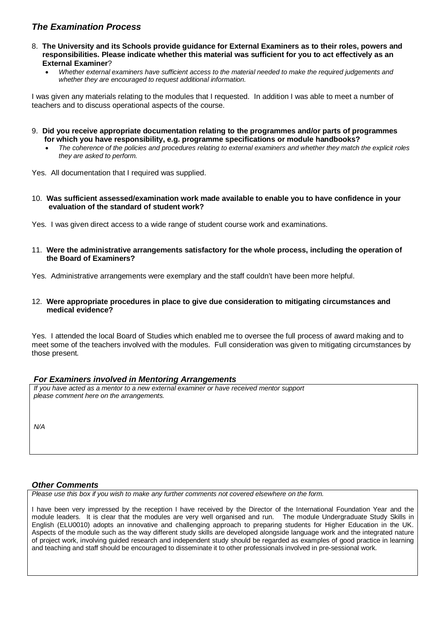## *The Examination Process*

- 8. **The University and its Schools provide guidance for External Examiners as to their roles, powers and responsibilities. Please indicate whether this material was sufficient for you to act effectively as an External Examiner**?
	- *Whether external examiners have sufficient access to the material needed to make the required judgements and whether they are encouraged to request additional information.*

I was given any materials relating to the modules that I requested. In addition I was able to meet a number of teachers and to discuss operational aspects of the course.

- 9. **Did you receive appropriate documentation relating to the programmes and/or parts of programmes for which you have responsibility, e.g. programme specifications or module handbooks?**
	- *The coherence of the policies and procedures relating to external examiners and whether they match the explicit roles they are asked to perform.*

Yes. All documentation that I required was supplied.

10. **Was sufficient assessed/examination work made available to enable you to have confidence in your evaluation of the standard of student work?**

Yes. I was given direct access to a wide range of student course work and examinations.

11. **Were the administrative arrangements satisfactory for the whole process, including the operation of the Board of Examiners?**

Yes. Administrative arrangements were exemplary and the staff couldn't have been more helpful.

12. **Were appropriate procedures in place to give due consideration to mitigating circumstances and medical evidence?**

Yes. I attended the local Board of Studies which enabled me to oversee the full process of award making and to meet some of the teachers involved with the modules. Full consideration was given to mitigating circumstances by those present*.*

#### *For Examiners involved in Mentoring Arrangements*

*If you have acted as a mentor to a new external examiner or have received mentor support please comment here on the arrangements.*

*N/A*

#### *Other Comments*

*Please use this box if you wish to make any further comments not covered elsewhere on the form.*

I have been very impressed by the reception I have received by the Director of the International Foundation Year and the module leaders. It is clear that the modules are very well organised and run. The module Undergraduate Study Skills in English (ELU0010) adopts an innovative and challenging approach to preparing students for Higher Education in the UK. Aspects of the module such as the way different study skills are developed alongside language work and the integrated nature of project work, involving guided research and independent study should be regarded as examples of good practice in learning and teaching and staff should be encouraged to disseminate it to other professionals involved in pre-sessional work.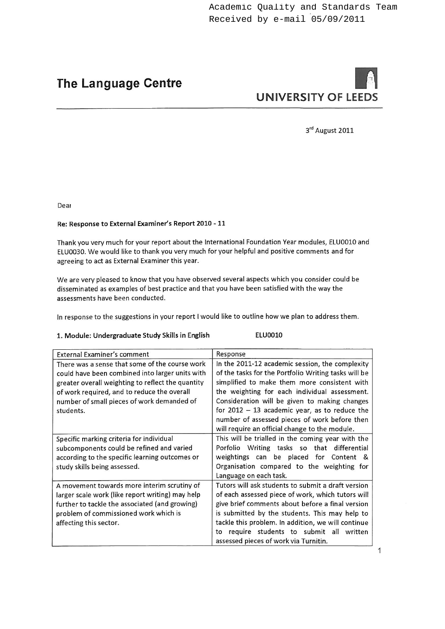## **The Language Centre**

# **UNIVERSITY OF LEEDS**

3rd August 2011

Dear

#### Re: Response to External Examiner's Report 2010 - 11

Thank you very much for your report about the International Foundation Year modules, ELU0010 and ELU0030. We would like to thank you very much for your helpful and positive comments and for agreeing to act as External Examiner this year.

We are very pleased to know that you have observed several aspects which you consider could be disseminated as examples of best practice and that you have been satisfied with the way the assessments have been conducted.

In response to the suggestions in your report I would like to outline how we plan to address them.

#### 1. Module: Undergraduate Study Skills in English

## ELU0010

| <b>External Examiner's comment</b>                                                                                                                                                                                                                               | Response                                                                                                                                                                                                                                                                                                                                                                                                        |  |
|------------------------------------------------------------------------------------------------------------------------------------------------------------------------------------------------------------------------------------------------------------------|-----------------------------------------------------------------------------------------------------------------------------------------------------------------------------------------------------------------------------------------------------------------------------------------------------------------------------------------------------------------------------------------------------------------|--|
| There was a sense that some of the course work<br>could have been combined into larger units with<br>greater overall weighting to reflect the quantity<br>of work required, and to reduce the overall<br>number of small pieces of work demanded of<br>students. | In the 2011-12 academic session, the complexity<br>of the tasks for the Portfolio Writing tasks will be<br>simplified to make them more consistent with<br>the weighting for each individual assessment.<br>Consideration will be given to making changes<br>for $2012 - 13$ academic year, as to reduce the<br>number of assessed pieces of work before then<br>will require an official change to the module. |  |
| Specific marking criteria for individual<br>subcomponents could be refined and varied<br>according to the specific learning outcomes or<br>study skills being assessed.                                                                                          | This will be trialled in the coming year with the<br>Porfolio Writing tasks so that differential<br>weightings can be placed for Content &<br>Organisation compared to the weighting for<br>Language on each task.                                                                                                                                                                                              |  |
| A movement towards more interim scrutiny of<br>larger scale work (like report writing) may help<br>further to tackle the associated (and growing)<br>problem of commissioned work which is<br>affecting this sector.                                             | Tutors will ask students to submit a draft version<br>of each assessed piece of work, which tutors will<br>give brief comments about before a final version<br>is submitted by the students. This may help to<br>tackle this problem. In addition, we will continue<br>require students to submit all written<br>to<br>assessed pieces of work via Turnitin.                                                    |  |

 $\mathbf{1}$